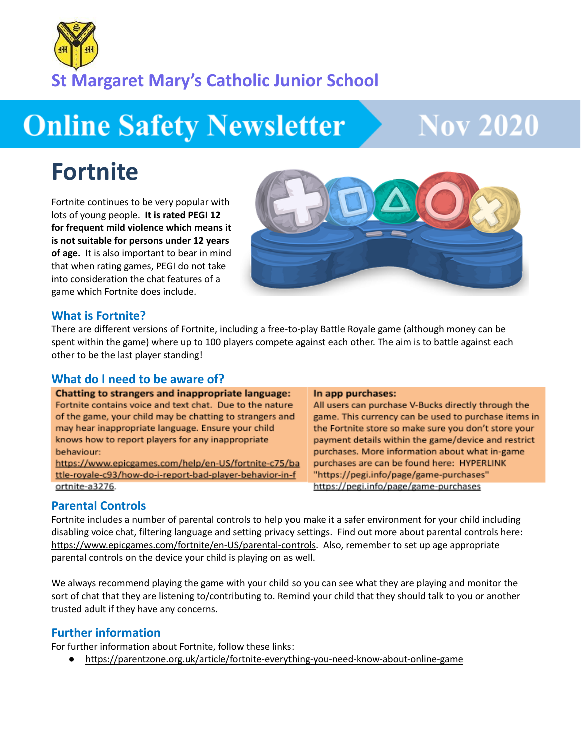

**St Margaret Mary's Catholic Junior School**

# **Online Safety Newsletter**

## **Nov 2020**

## **Fortnite**

Fortnite continues to be very popular with lots of young people. **It is rated PEGI 12 for frequent mild violence which means it is not suitable for persons under 12 years of age.** It is also important to bear in mind that when rating games, PEGI do not take into consideration the chat features of a game which Fortnite does include.



### **What is Fortnite?**

There are different versions of Fortnite, including a free-to-play Battle Royale game (although money can be spent within the game) where up to 100 players compete against each other. The aim is to battle against each other to be the last player standing!

### **What do I need to be aware of?**

| <b>Chatting to strangers and inappropriate language:</b> | In app purchases:                                    |
|----------------------------------------------------------|------------------------------------------------------|
| Fortnite contains voice and text chat. Due to the nature | All users can purchase V-Bucks directly through the  |
| of the game, your child may be chatting to strangers and | game. This currency can be used to purchase items in |
| may hear inappropriate language. Ensure your child       | the Fortnite store so make sure you don't store your |
| knows how to report players for any inappropriate        | payment details within the game/device and restrict  |
| behaviour:                                               | purchases. More information about what in-game       |
| https://www.epicgames.com/help/en-US/fortnite-c75/ba     | purchases are can be found here: HYPERLINK           |
| ttle-royale-c93/how-do-i-report-bad-player-behavior-in-f | "https://pegi.info/page/game-purchases"              |
| ortnite-a3276.                                           | https://pegi.info/page/game-purchases                |

### **Parental Controls**

Fortnite includes a number of parental controls to help you make it a safer environment for your child including disabling voice chat, filtering language and setting privacy settings. Find out more about parental controls here: [https://www.epicgames.com/fortnite/en-US/parental-controls.](https://www.epicgames.com/fortnite/en-US/parental-controls) Also, remember to set up age appropriate parental controls on the device your child is playing on as well.

We always recommend playing the game with your child so you can see what they are playing and monitor the sort of chat that they are listening to/contributing to. Remind your child that they should talk to you or another trusted adult if they have any concerns.

### **Further information**

For further information about Fortnite, follow these links:

● <https://parentzone.org.uk/article/fortnite-everything-you-need-know-about-online-game>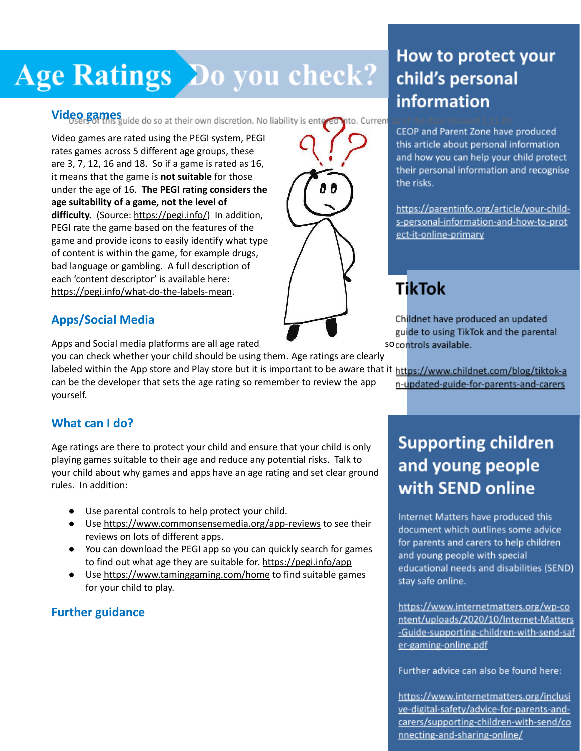# Age Ratings Do you check?

**Video games** under do so at their own discretion. No liability is entered nto. Current

Video games are rated using the PEGI system, PEGI rates games across 5 different age groups, these are 3, 7, 12, 16 and 18. So if a game is rated as 16, it means that the game is **not suitable** for those under the age of 16. **The PEGI rating considers the age suitability of a game, not the level of difficulty.** (Source: <https://pegi.info/>) In addition, PEGI rate the game based on the features of the game and provide icons to easily identify what type of content is within the game, for example drugs, bad language or gambling. A full description of each 'content descriptor' is available here: [https://pegi.info/what-do-the-labels-mean.](https://pegi.info/what-do-the-labels-mean)



Apps and Social media platforms are all age rated social social social social social platforms are all age rated social social social social social platforms are all age rated social social social social social social soci

you can check whether your child should be using them. Age ratings are clearly labeled within the App store and Play store but it is important to be aware that it https://www.childnet.com/blog/tiktok-a can be the developer that sets the age rating so remember to review the app yourself.

### **What can I do?**

Age ratings are there to protect your child and ensure that your child is only playing games suitable to their age and reduce any potential risks. Talk to your child about why games and apps have an age rating and set clear ground rules. In addition:

- Use parental controls to help protect your child.
- Use <https://www.commonsensemedia.org/app-reviews> to see their reviews on lots of different apps.
- You can download the PEGI app so you can quickly search for games to find out what age they are suitable for. <https://pegi.info/app>
- Use <https://www.taminggaming.com/home> to find suitable games for your child to play.

### **Further guidance**



### How to protect your child's personal information

CEOP and Parent Zone have produced this article about personal information and how you can help your child protect their personal information and recognise the risks.

https://parentinfo.org/article/your-childs-personal-information-and-how-to-prot ect-it-online-primary

## **TikTok**

Childnet have produced an updated guide to using TikTok and the parental

n-updated-guide-for-parents-and-carers

### **Supporting children** and young people with SEND online

Internet Matters have produced this document which outlines some advice for parents and carers to help children and young people with special educational needs and disabilities (SEND) stay safe online.

https://www.internetmatters.org/wp-co ntent/uploads/2020/10/Internet-Matters -Guide-supporting-children-with-send-saf er-gaming-online.pdf

Further advice can also be found here:

https://www.internetmatters.org/inclusi ve-digital-safety/advice-for-parents-andcarers/supporting-children-with-send/co nnecting-and-sharing-online/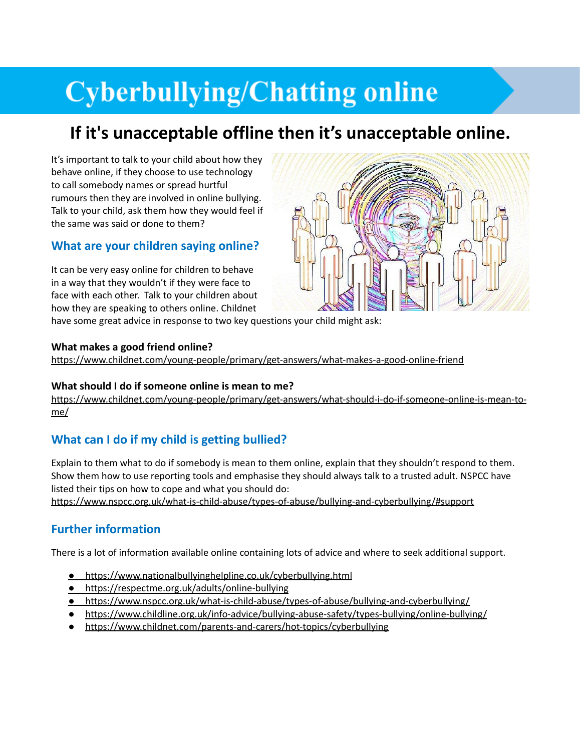### **●** <https://www.thinkuknow.co.uk/parents/articles/gaming-whats-appropriate-for-your-child/>  $\epsilon$ <sup>*e*</sup>

### **If it's unacceptable offline then it's unacceptable online.**

It's important to talk to your child about how they behave online, if they choose to use technology to call somebody names or spread hurtful rumours then they are involved in online bullying. Talk to your child, ask them how they would feel if the same was said or done to them?

### **What are your children saying online?**

It can be very easy online for children to behave in a way that they wouldn't if they were face to face with each other. Talk to your children about how they are speaking to others online. Childnet



have some great advice in response to two key questions your child might ask:

#### **What makes a good friend online?**

<https://www.childnet.com/young-people/primary/get-answers/what-makes-a-good-online-friend>

#### **What should I do if someone online is mean to me?**

[https://www.childnet.com/young-people/primary/get-answers/what-should-i-do-if-someone-online-is-mean-to](https://www.childnet.com/young-people/primary/get-answers/what-should-i-do-if-someone-online-is-mean-to-me/)[me/](https://www.childnet.com/young-people/primary/get-answers/what-should-i-do-if-someone-online-is-mean-to-me/)

### **What can I do if my child is getting bullied?**

Explain to them what to do if somebody is mean to them online, explain that they shouldn't respond to them. Show them how to use reporting tools and emphasise they should always talk to a trusted adult. NSPCC have listed their tips on how to cope and what you should do:

<https://www.nspcc.org.uk/what-is-child-abuse/types-of-abuse/bullying-and-cyberbullying/#support>

### **Further information**

There is a lot of information available online containing lots of advice and where to seek additional support.

- <https://www.nationalbullyinghelpline.co.uk/cyberbullying.html>
- <https://respectme.org.uk/adults/online-bullying>
- <https://www.nspcc.org.uk/what-is-child-abuse/types-of-abuse/bullying-and-cyberbullying/>
- <https://www.childline.org.uk/info-advice/bullying-abuse-safety/types-bullying/online-bullying/>
- *●* <https://www.childnet.com/parents-and-carers/hot-topics/cyberbullying>